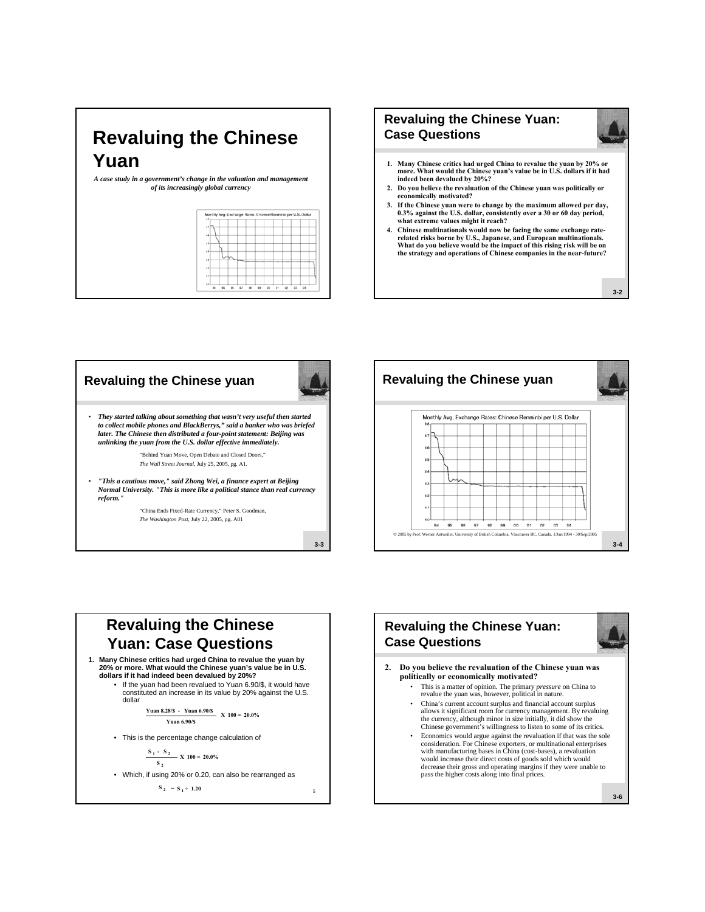## **Revaluing the Chinese Yuan**

*A case study in a government's change in the valuation and management of its increasingly global currency*

| 04 |
|----|
|    |



- **1. Many Chinese critics had urged China to revalue the yuan by 20% or more. What would the Chinese yuan's value be in U.S. dollars if it had indeed been devalued by 20%?**
- **2. Do you believe the revaluation of the Chinese yuan was politically or economically motivated?**
- **3. If the Chinese yuan were to change by the maximum allowed per day, 0.3% against the U.S. dollar, consistently over a 30 or 60 day period, what extreme values might it reach?**
- **4. Chinese multinationals would now be facing the same exchange raterelated risks borne by U.S., Japanese, and European multinationals. What do you believe would be the impact of this rising risk will be on the strategy and operations of Chinese companies in the near-future?**

**3-2**

**3-4**



## 5 **Revaluing the Chinese Yuan: Case Questions 1. Many Chinese critics had urged China to revalue the yuan by 20% or more. What would the Chinese yuan's value be in U.S. dollars if it had indeed been devalued by 20%?** • If the yuan had been revalued to Yuan 6.90/\$, it would have constituted an increase in its value by 20% against the U.S. dollar • This is the percentage change calculation of • Which, if using 20% or 0.20, can also be rearranged as **Yuan 8.28/\$ - Yuan 6.90/\$ X 100 = 20.0% Yuan 6.90/\$**  $\frac{S_1 - S_2}{S_2}$  **X** 100 = 20.0% **S** <sub>2</sub>  $S_2 = S_1 \div 1.20$



- **2. Do you believe the revaluation of the Chinese yuan was politically or economically motivated?**
	- This is a matter of opinion. The primary *pressure* on China to revalue the yuan was, however, political in nature.
	- China's current account surplus and financial account surplus allows it significant room for currency management. By revaluing the currency, although minor in size initially, it did show the Chinese government's willingness to listen to some of its critics.
	- Economics would argue against the revaluation if that was the sole consideration. For Chinese exporters, or multinational enterprises with manufacturing bases in China (cost-bases), a revaluation would increase their direct costs of goods sold which would decrease their gross and operating margins if they were unable to pass the higher costs along into final prices.